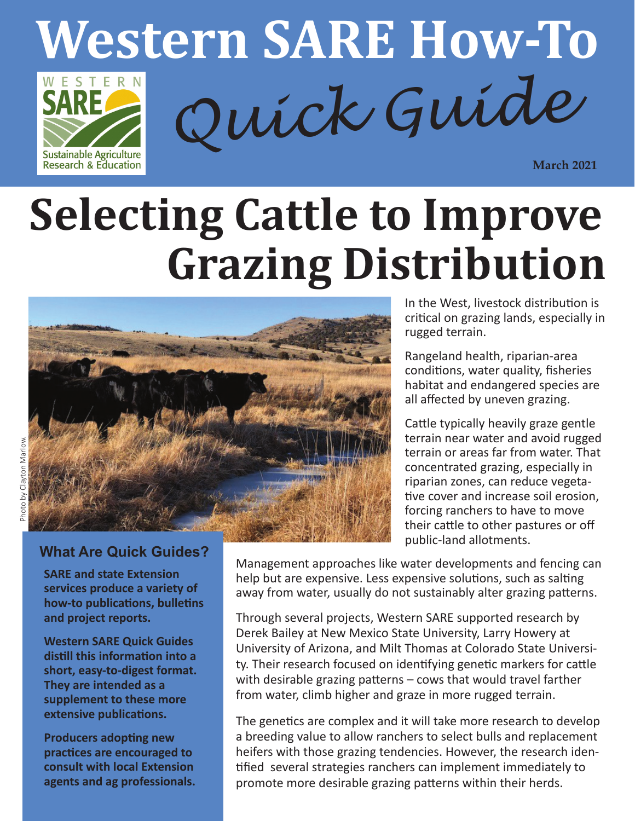

# **Selecting Cattle to Improve Grazing Distribution**



#### **What Are Quick Guides?**

**SARE and state Extension services produce a variety of how-to publications, bulletins and project reports.**

**Western SARE Quick Guides distill this information into a short, easy-to-digest format. They are intended as a supplement to these more extensive publications.**

**Producers adopting new practices are encouraged to consult with local Extension agents and ag professionals.** In the West, livestock distribution is critical on grazing lands, especially in rugged terrain.

Rangeland health, riparian-area conditions, water quality, fisheries habitat and endangered species are all affected by uneven grazing.

Cattle typically heavily graze gentle terrain near water and avoid rugged terrain or areas far from water. That concentrated grazing, especially in riparian zones, can reduce vegetative cover and increase soil erosion, forcing ranchers to have to move their cattle to other pastures or off public-land allotments.

Management approaches like water developments and fencing can help but are expensive. Less expensive solutions, such as salting away from water, usually do not sustainably alter grazing patterns.

Through several projects, Western SARE supported research by Derek Bailey at New Mexico State University, Larry Howery at University of Arizona, and Milt Thomas at Colorado State University. Their research focused on identifying genetic markers for cattle with desirable grazing patterns – cows that would travel farther from water, climb higher and graze in more rugged terrain.

The genetics are complex and it will take more research to develop a breeding value to allow ranchers to select bulls and replacement heifers with those grazing tendencies. However, the research identified several strategies ranchers can implement immediately to promote more desirable grazing patterns within their herds.